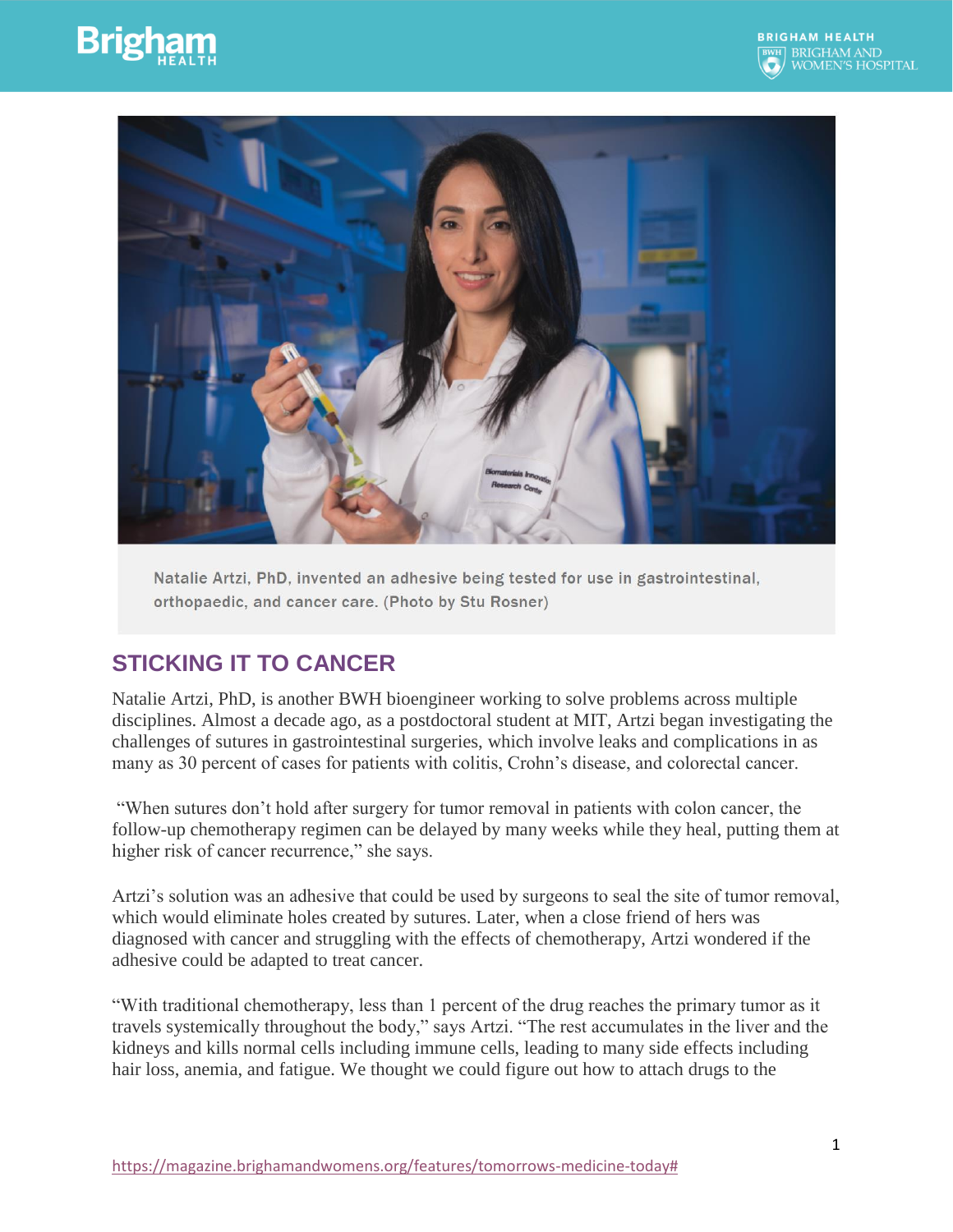





Natalie Artzi, PhD, invented an adhesive being tested for use in gastrointestinal, orthopaedic, and cancer care. (Photo by Stu Rosner)

## **STICKING IT TO CANCER**

Natalie Artzi, PhD, is another BWH bioengineer working to solve problems across multiple disciplines. Almost a decade ago, as a postdoctoral student at MIT, Artzi began investigating the challenges of sutures in gastrointestinal surgeries, which involve leaks and complications in as many as 30 percent of cases for patients with colitis, Crohn's disease, and colorectal cancer.

"When sutures don't hold after surgery for tumor removal in patients with colon cancer, the follow-up chemotherapy regimen can be delayed by many weeks while they heal, putting them at higher risk of cancer recurrence," she says.

Artzi's solution was an adhesive that could be used by surgeons to seal the site of tumor removal, which would eliminate holes created by sutures. Later, when a close friend of hers was diagnosed with cancer and struggling with the effects of chemotherapy, Artzi wondered if the adhesive could be adapted to treat cancer.

"With traditional chemotherapy, less than 1 percent of the drug reaches the primary tumor as it travels systemically throughout the body," says Artzi. "The rest accumulates in the liver and the kidneys and kills normal cells including immune cells, leading to many side effects including hair loss, anemia, and fatigue. We thought we could figure out how to attach drugs to the